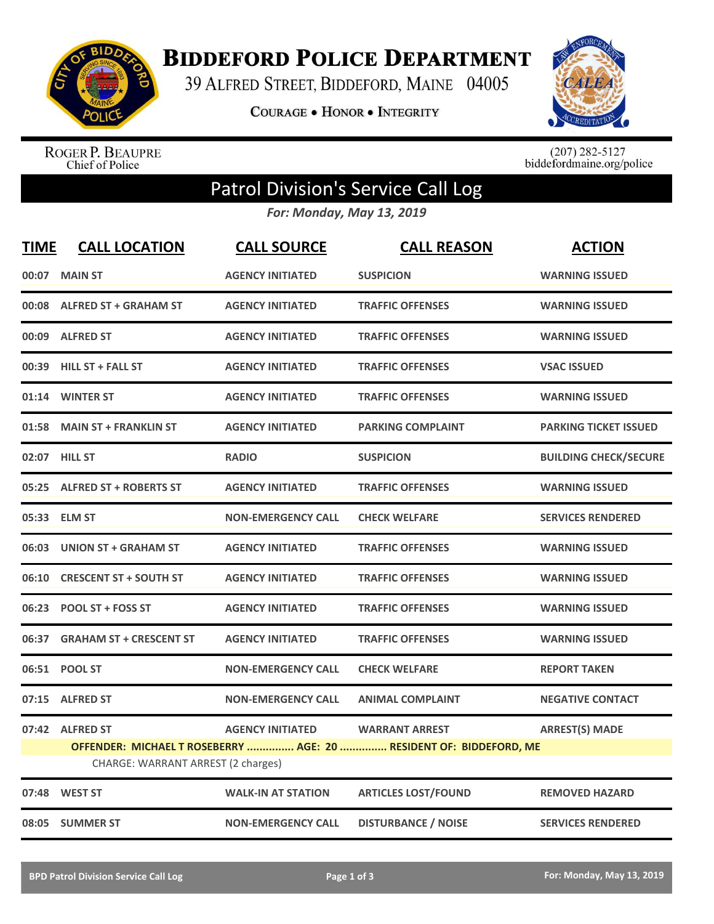

**BIDDEFORD POLICE DEPARTMENT** 

39 ALFRED STREET, BIDDEFORD, MAINE 04005

**COURAGE . HONOR . INTEGRITY** 



ROGER P. BEAUPRE<br>Chief of Police

 $(207)$  282-5127<br>biddefordmaine.org/police

## Patrol Division's Service Call Log

*For: Monday, May 13, 2019*

| <b>TIME</b> | <b>CALL LOCATION</b>                                                                                     | <b>CALL SOURCE</b>        | <b>CALL REASON</b>         | <b>ACTION</b>                |  |
|-------------|----------------------------------------------------------------------------------------------------------|---------------------------|----------------------------|------------------------------|--|
| 00:07       | <b>MAIN ST</b>                                                                                           | <b>AGENCY INITIATED</b>   | <b>SUSPICION</b>           | <b>WARNING ISSUED</b>        |  |
|             | 00:08 ALFRED ST + GRAHAM ST                                                                              | <b>AGENCY INITIATED</b>   | <b>TRAFFIC OFFENSES</b>    | <b>WARNING ISSUED</b>        |  |
|             | 00:09 ALFRED ST                                                                                          | <b>AGENCY INITIATED</b>   | <b>TRAFFIC OFFENSES</b>    | <b>WARNING ISSUED</b>        |  |
|             | 00:39 HILL ST + FALL ST                                                                                  | <b>AGENCY INITIATED</b>   | <b>TRAFFIC OFFENSES</b>    | <b>VSAC ISSUED</b>           |  |
|             | 01:14 WINTER ST                                                                                          | <b>AGENCY INITIATED</b>   | <b>TRAFFIC OFFENSES</b>    | <b>WARNING ISSUED</b>        |  |
| 01:58       | <b>MAIN ST + FRANKLIN ST</b>                                                                             | <b>AGENCY INITIATED</b>   | <b>PARKING COMPLAINT</b>   | <b>PARKING TICKET ISSUED</b> |  |
|             | 02:07 HILL ST                                                                                            | <b>RADIO</b>              | <b>SUSPICION</b>           | <b>BUILDING CHECK/SECURE</b> |  |
| 05:25       | <b>ALFRED ST + ROBERTS ST</b>                                                                            | <b>AGENCY INITIATED</b>   | <b>TRAFFIC OFFENSES</b>    | <b>WARNING ISSUED</b>        |  |
|             | 05:33 ELM ST                                                                                             | <b>NON-EMERGENCY CALL</b> | <b>CHECK WELFARE</b>       | <b>SERVICES RENDERED</b>     |  |
| 06:03       | UNION ST + GRAHAM ST                                                                                     | <b>AGENCY INITIATED</b>   | <b>TRAFFIC OFFENSES</b>    | <b>WARNING ISSUED</b>        |  |
|             | 06:10 CRESCENT ST + SOUTH ST                                                                             | <b>AGENCY INITIATED</b>   | <b>TRAFFIC OFFENSES</b>    | <b>WARNING ISSUED</b>        |  |
|             | 06:23 POOL ST + FOSS ST                                                                                  | <b>AGENCY INITIATED</b>   | <b>TRAFFIC OFFENSES</b>    | <b>WARNING ISSUED</b>        |  |
| 06:37       | <b>GRAHAM ST + CRESCENT ST</b>                                                                           | <b>AGENCY INITIATED</b>   | <b>TRAFFIC OFFENSES</b>    | <b>WARNING ISSUED</b>        |  |
| 06:51       | <b>POOL ST</b>                                                                                           | <b>NON-EMERGENCY CALL</b> | <b>CHECK WELFARE</b>       | <b>REPORT TAKEN</b>          |  |
| 07:15       | <b>ALFRED ST</b>                                                                                         | <b>NON-EMERGENCY CALL</b> | <b>ANIMAL COMPLAINT</b>    | <b>NEGATIVE CONTACT</b>      |  |
|             | 07:42 ALFRED ST                                                                                          | <b>AGENCY INITIATED</b>   | <b>WARRANT ARREST</b>      | <b>ARREST(S) MADE</b>        |  |
|             | OFFENDER: MICHAEL T ROSEBERRY  AGE: 20  RESIDENT OF: BIDDEFORD, ME<br>CHARGE: WARRANT ARREST (2 charges) |                           |                            |                              |  |
|             | 07:48 WEST ST                                                                                            | <b>WALK-IN AT STATION</b> | <b>ARTICLES LOST/FOUND</b> | <b>REMOVED HAZARD</b>        |  |
|             | 08:05 SUMMER ST                                                                                          | <b>NON-EMERGENCY CALL</b> | <b>DISTURBANCE / NOISE</b> | <b>SERVICES RENDERED</b>     |  |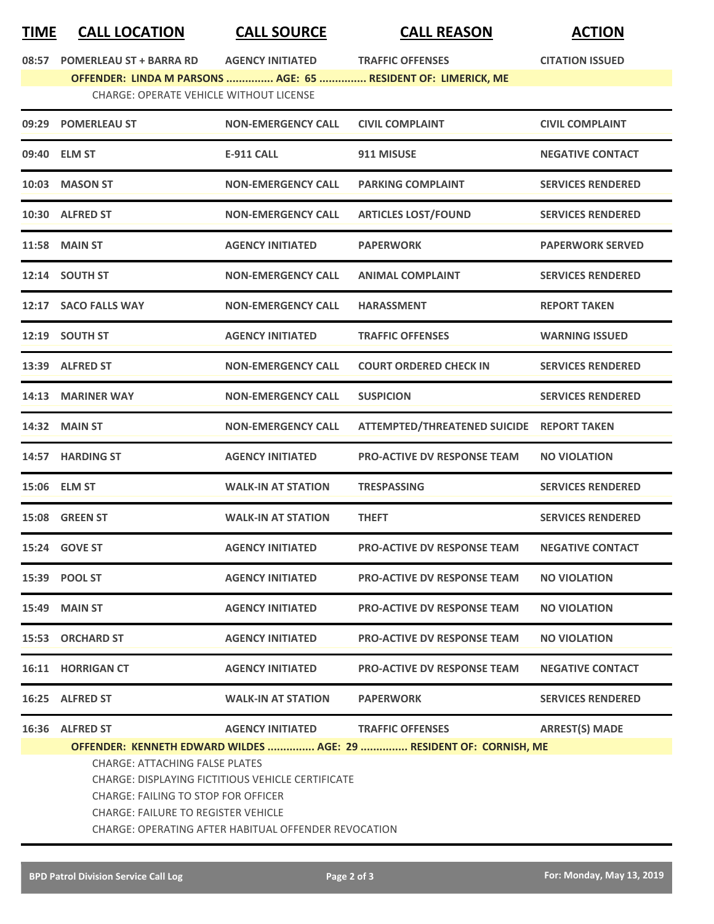## **TIME CALL LOCATION CALL SOURCE CALL REASON ACTION**

**08:57 POMERLEAU ST + BARRA RD AGENCY INITIATED TRAFFIC OFFENSES CITATION ISSUED OFFENDER: LINDA M PARSONS ............... AGE: 65 ............... RESIDENT OF: LIMERICK, ME**

CHARGE: OPERATE VEHICLE WITHOUT LICENSE

|       | 09:29 POMERLEAU ST                                                                                                                | <b>NON-EMERGENCY CALL</b>         | <b>CIVIL COMPLAINT</b>                                             | <b>CIVIL COMPLAINT</b>   |  |  |
|-------|-----------------------------------------------------------------------------------------------------------------------------------|-----------------------------------|--------------------------------------------------------------------|--------------------------|--|--|
|       | 09:40 ELM ST                                                                                                                      | <b>E-911 CALL</b>                 | 911 MISUSE                                                         | <b>NEGATIVE CONTACT</b>  |  |  |
| 10:03 | <b>MASON ST</b>                                                                                                                   | <b>NON-EMERGENCY CALL</b>         | <b>PARKING COMPLAINT</b>                                           | <b>SERVICES RENDERED</b> |  |  |
|       | 10:30 ALFRED ST                                                                                                                   | <b>NON-EMERGENCY CALL</b>         | <b>ARTICLES LOST/FOUND</b>                                         | <b>SERVICES RENDERED</b> |  |  |
|       | <b>11:58 MAIN ST</b>                                                                                                              | <b>AGENCY INITIATED</b>           | <b>PAPERWORK</b>                                                   | <b>PAPERWORK SERVED</b>  |  |  |
|       | 12:14 SOUTH ST                                                                                                                    | <b>NON-EMERGENCY CALL</b>         | <b>ANIMAL COMPLAINT</b>                                            | <b>SERVICES RENDERED</b> |  |  |
|       | 12:17 SACO FALLS WAY                                                                                                              | <b>NON-EMERGENCY CALL</b>         | <b>HARASSMENT</b>                                                  | <b>REPORT TAKEN</b>      |  |  |
|       | 12:19 SOUTH ST                                                                                                                    | <b>AGENCY INITIATED</b>           | <b>TRAFFIC OFFENSES</b>                                            | <b>WARNING ISSUED</b>    |  |  |
|       | 13:39 ALFRED ST                                                                                                                   | <b>NON-EMERGENCY CALL</b>         | <b>COURT ORDERED CHECK IN</b>                                      | <b>SERVICES RENDERED</b> |  |  |
|       | 14:13 MARINER WAY                                                                                                                 | <b>NON-EMERGENCY CALL</b>         | <b>SUSPICION</b>                                                   | <b>SERVICES RENDERED</b> |  |  |
|       | <b>14:32 MAIN ST</b>                                                                                                              | <b>NON-EMERGENCY CALL</b>         | ATTEMPTED/THREATENED SUICIDE REPORT TAKEN                          |                          |  |  |
|       | 14:57 HARDING ST                                                                                                                  | <b>AGENCY INITIATED</b>           | <b>PRO-ACTIVE DV RESPONSE TEAM</b>                                 | <b>NO VIOLATION</b>      |  |  |
|       | 15:06 ELM ST                                                                                                                      | <b>WALK-IN AT STATION</b>         | TRESPASSING                                                        | <b>SERVICES RENDERED</b> |  |  |
|       | 15:08 GREEN ST                                                                                                                    | <b>WALK-IN AT STATION</b>         | <b>THEFT</b>                                                       | <b>SERVICES RENDERED</b> |  |  |
| 15:24 | <b>GOVE ST</b>                                                                                                                    | <b>AGENCY INITIATED</b>           | <b>PRO-ACTIVE DV RESPONSE TEAM</b>                                 | <b>NEGATIVE CONTACT</b>  |  |  |
|       | 15:39 POOL ST                                                                                                                     | <b>AGENCY INITIATED</b>           | <b>PRO-ACTIVE DV RESPONSE TEAM</b>                                 | <b>NO VIOLATION</b>      |  |  |
|       | 15:49 MAIN ST                                                                                                                     | <b>AGENCY INITIATED</b>           | <b>PRO-ACTIVE DV RESPONSE TEAM</b>                                 | <b>NO VIOLATION</b>      |  |  |
|       | 15:53 ORCHARD ST                                                                                                                  | <b>AGENCY INITIATED</b>           | <b>PRO-ACTIVE DV RESPONSE TEAM</b>                                 | <b>NO VIOLATION</b>      |  |  |
|       | 16:11 HORRIGAN CT                                                                                                                 | <b>AGENCY INITIATED</b>           | <b>PRO-ACTIVE DV RESPONSE TEAM</b>                                 | <b>NEGATIVE CONTACT</b>  |  |  |
|       | 16:25 ALFRED ST                                                                                                                   | <b>WALK-IN AT STATION</b>         | <b>PAPERWORK</b>                                                   | <b>SERVICES RENDERED</b> |  |  |
|       | 16:36 ALFRED ST                                                                                                                   | AGENCY INITIATED TRAFFIC OFFENSES |                                                                    | <b>ARREST(S) MADE</b>    |  |  |
|       |                                                                                                                                   |                                   | OFFENDER: KENNETH EDWARD WILDES  AGE: 29  RESIDENT OF: CORNISH, ME |                          |  |  |
|       | CHARGE: ATTACHING FALSE PLATES<br><b>CHARGE: DISPLAYING FICTITIOUS VEHICLE CERTIFICATE</b><br>CHARGE: FAILING TO STOP FOR OFFICER |                                   |                                                                    |                          |  |  |

CHARGE: FAILURE TO REGISTER VEHICLE

CHARGE: OPERATING AFTER HABITUAL OFFENDER REVOCATION